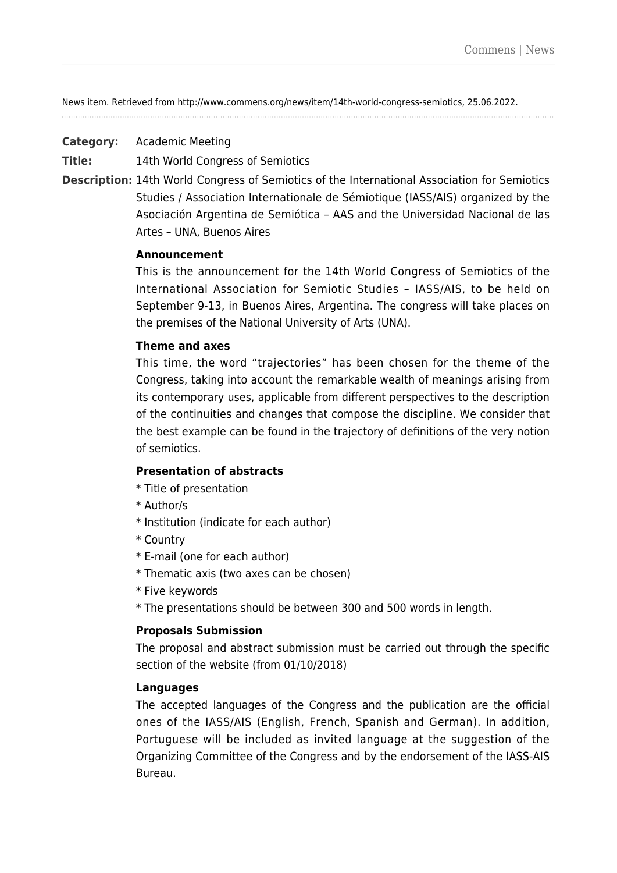News item. Retrieved from http://www.commens.org/news/item/14th-world-congress-semiotics, 25.06.2022.

**Category:** Academic Meeting

**Title:** 14th World Congress of Semiotics

**Description:** 14th World Congress of Semiotics of the International Association for Semiotics Studies / Association Internationale de Sémiotique (IASS/AIS) organized by the Asociación Argentina de Semiótica – AAS and the Universidad Nacional de las Artes – UNA, Buenos Aires

### **Announcement**

This is the announcement for the 14th World Congress of Semiotics of the International Association for Semiotic Studies – IASS/AIS, to be held on September 9-13, in Buenos Aires, Argentina. The congress will take places on the premises of the National University of Arts (UNA).

### **Theme and axes**

This time, the word "trajectories" has been chosen for the theme of the Congress, taking into account the remarkable wealth of meanings arising from its contemporary uses, applicable from different perspectives to the description of the continuities and changes that compose the discipline. We consider that the best example can be found in the trajectory of definitions of the very notion of semiotics.

### **Presentation of abstracts**

- \* Title of presentation
- \* Author/s
- \* Institution (indicate for each author)
- \* Country
- \* E-mail (one for each author)
- \* Thematic axis (two axes can be chosen)
- \* Five keywords
- \* The presentations should be between 300 and 500 words in length.

# **Proposals Submission**

The proposal and abstract submission must be carried out through the specific section of the website (from 01/10/2018)

#### **Languages**

The accepted languages of the Congress and the publication are the official ones of the IASS/AIS (English, French, Spanish and German). In addition, Portuguese will be included as invited language at the suggestion of the Organizing Committee of the Congress and by the endorsement of the IASS-AIS Bureau.